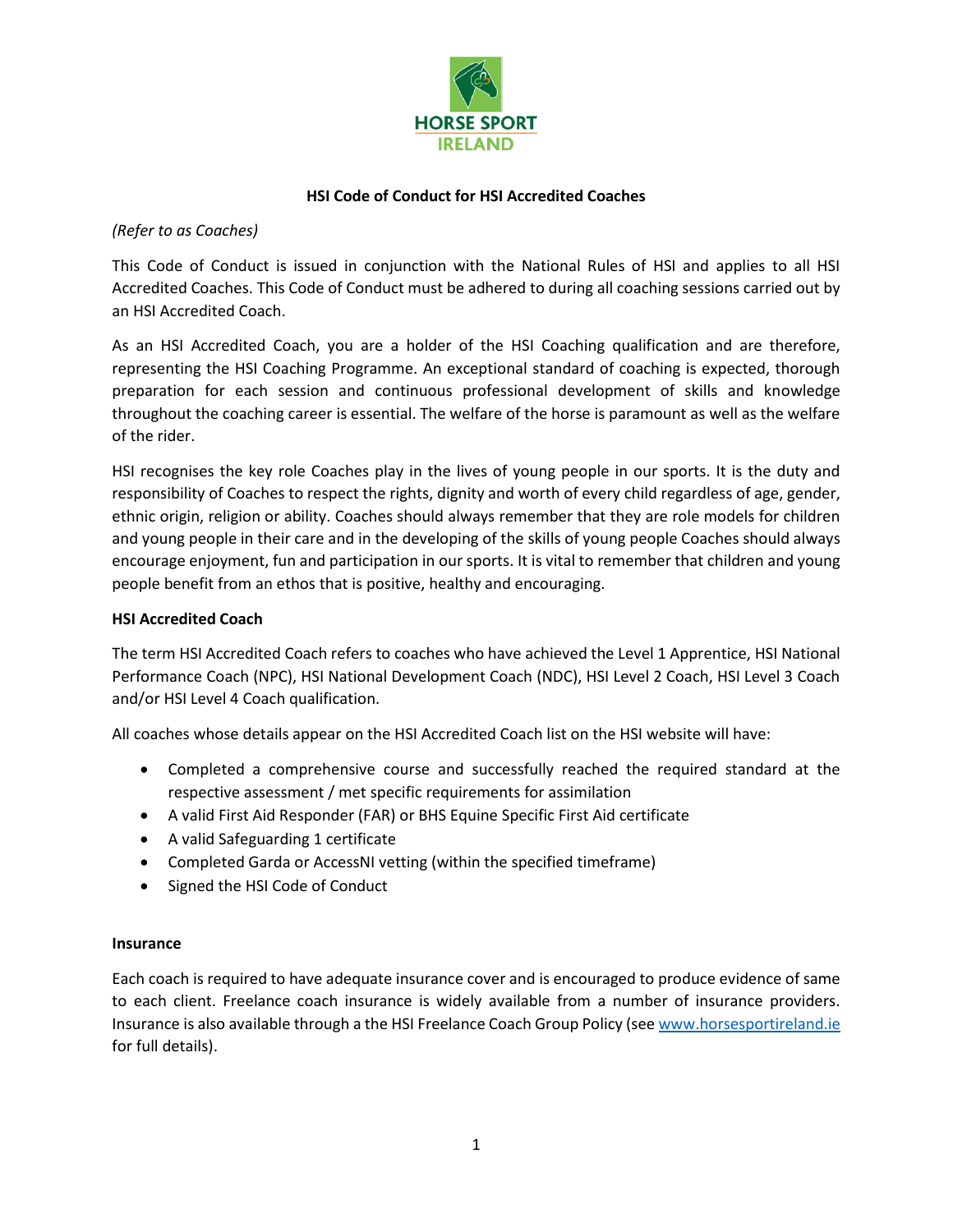

## **HSI Code of Conduct for HSI Accredited Coaches**

### *(Refer to as Coaches)*

This Code of Conduct is issued in conjunction with the National Rules of HSI and applies to all HSI Accredited Coaches. This Code of Conduct must be adhered to during all coaching sessions carried out by an HSI Accredited Coach.

As an HSI Accredited Coach, you are a holder of the HSI Coaching qualification and are therefore, representing the HSI Coaching Programme. An exceptional standard of coaching is expected, thorough preparation for each session and continuous professional development of skills and knowledge throughout the coaching career is essential. The welfare of the horse is paramount as well as the welfare of the rider.

HSI recognises the key role Coaches play in the lives of young people in our sports. It is the duty and responsibility of Coaches to respect the rights, dignity and worth of every child regardless of age, gender, ethnic origin, religion or ability. Coaches should always remember that they are role models for children and young people in their care and in the developing of the skills of young people Coaches should always encourage enjoyment, fun and participation in our sports. It is vital to remember that children and young people benefit from an ethos that is positive, healthy and encouraging.

#### **HSI Accredited Coach**

The term HSI Accredited Coach refers to coaches who have achieved the Level 1 Apprentice, HSI National Performance Coach (NPC), HSI National Development Coach (NDC), HSI Level 2 Coach, HSI Level 3 Coach and/or HSI Level 4 Coach qualification.

All coaches whose details appear on the HSI Accredited Coach list on the HSI website will have:

- Completed a comprehensive course and successfully reached the required standard at the respective assessment / met specific requirements for assimilation
- A valid First Aid Responder (FAR) or BHS Equine Specific First Aid certificate
- A valid Safeguarding 1 certificate
- Completed Garda or AccessNI vetting (within the specified timeframe)
- Signed the HSI Code of Conduct

#### **Insurance**

Each coach is required to have adequate insurance cover and is encouraged to produce evidence of same to each client. Freelance coach insurance is widely available from a number of insurance providers. Insurance is also available through a the HSI Freelance Coach Group Policy (se[e www.horsesportireland.ie](http://www.horsesportireland.ie/) for full details).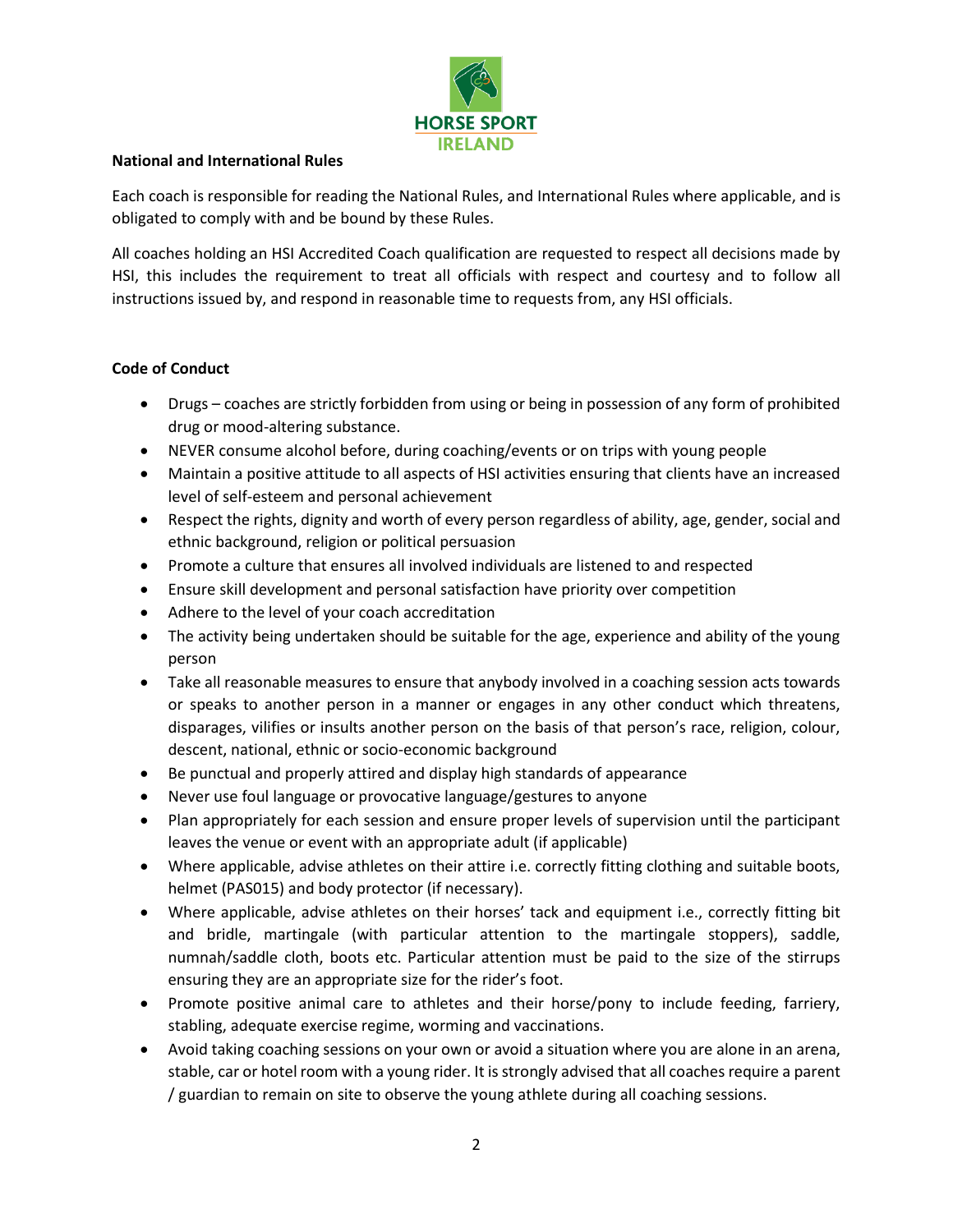

#### **National and International Rules**

Each coach is responsible for reading the National Rules, and International Rules where applicable, and is obligated to comply with and be bound by these Rules.

All coaches holding an HSI Accredited Coach qualification are requested to respect all decisions made by HSI, this includes the requirement to treat all officials with respect and courtesy and to follow all instructions issued by, and respond in reasonable time to requests from, any HSI officials.

#### **Code of Conduct**

- Drugs coaches are strictly forbidden from using or being in possession of any form of prohibited drug or mood-altering substance.
- NEVER consume alcohol before, during coaching/events or on trips with young people
- Maintain a positive attitude to all aspects of HSI activities ensuring that clients have an increased level of self-esteem and personal achievement
- Respect the rights, dignity and worth of every person regardless of ability, age, gender, social and ethnic background, religion or political persuasion
- Promote a culture that ensures all involved individuals are listened to and respected
- Ensure skill development and personal satisfaction have priority over competition
- Adhere to the level of your coach accreditation
- The activity being undertaken should be suitable for the age, experience and ability of the young person
- Take all reasonable measures to ensure that anybody involved in a coaching session acts towards or speaks to another person in a manner or engages in any other conduct which threatens, disparages, vilifies or insults another person on the basis of that person's race, religion, colour, descent, national, ethnic or socio-economic background
- Be punctual and properly attired and display high standards of appearance
- Never use foul language or provocative language/gestures to anyone
- Plan appropriately for each session and ensure proper levels of supervision until the participant leaves the venue or event with an appropriate adult (if applicable)
- Where applicable, advise athletes on their attire i.e. correctly fitting clothing and suitable boots, helmet (PAS015) and body protector (if necessary).
- Where applicable, advise athletes on their horses' tack and equipment i.e., correctly fitting bit and bridle, martingale (with particular attention to the martingale stoppers), saddle, numnah/saddle cloth, boots etc. Particular attention must be paid to the size of the stirrups ensuring they are an appropriate size for the rider's foot.
- Promote positive animal care to athletes and their horse/pony to include feeding, farriery, stabling, adequate exercise regime, worming and vaccinations.
- Avoid taking coaching sessions on your own or avoid a situation where you are alone in an arena, stable, car or hotel room with a young rider. It is strongly advised that all coaches require a parent / guardian to remain on site to observe the young athlete during all coaching sessions.